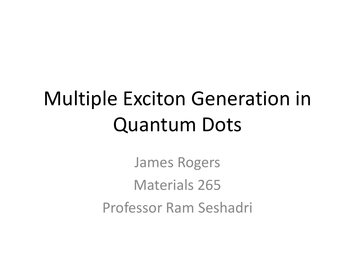# Multiple Exciton Generation in Quantum Dots

James Rogers Materials 265 Professor Ram Seshadri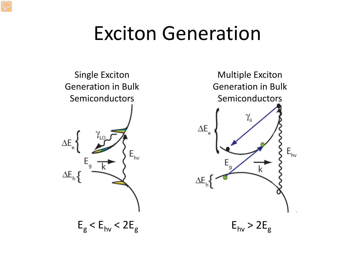#### Exciton Generation



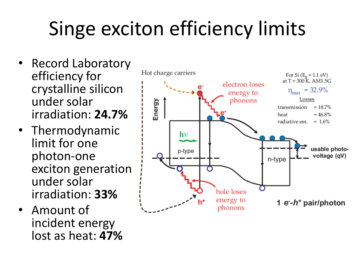# Singe exciton efficiency limits

- Record Laboratory efficiency for crystalline silicon under solar irradiation: **24.7%**
- Thermodynamic limit for one photon-one exciton generation under solar irradiation: **33%**
- Amount of incident energy lost as heat: **47%**

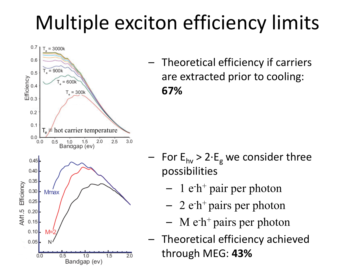# Multiple exciton efficiency limits



– Theoretical efficiency if carriers are extracted prior to cooling: **67%**

- For  $E_{hv}$  > 2⋅ $E_g$  we consider three possibilities
	- $-1$  e<sup>-h+</sup> pair per photon
	- $-$  2 e<sup>-h+</sup> pairs per photon
	- $-$  M e<sup>-h+</sup> pairs per photon
- Theoretical efficiency achieved through MEG: **43%**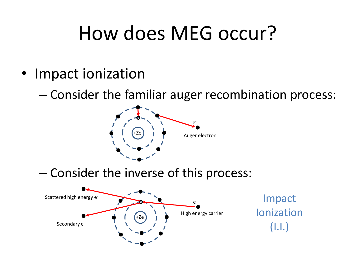### How does MEG occur?

• Impact ionization

– Consider the familiar auger recombination process:



– Consider the inverse of this process:

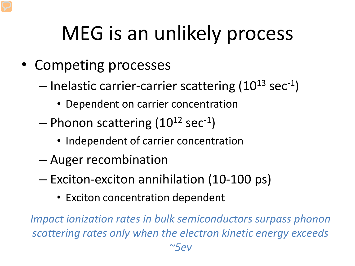# MEG is an unlikely process

- Competing processes
	- $-$  Inelastic carrier-carrier scattering (10<sup>13</sup> sec<sup>-1</sup>)
		- Dependent on carrier concentration
	- $-$  Phonon scattering (10<sup>12</sup> sec<sup>-1</sup>)
		- Independent of carrier concentration
	- Auger recombination
	- Exciton-exciton annihilation (10-100 ps)
		- Exciton concentration dependent

*Impact ionization rates in bulk semiconductors surpass phonon scattering rates only when the electron kinetic energy exceeds*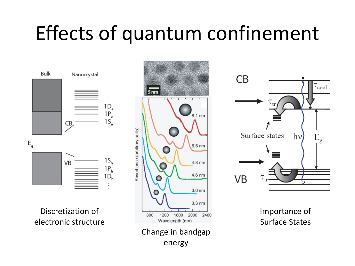#### Effects of quantum confinement

Bulk Nanocrystal  $1D_e$  $1P_e$  $1S_{\sim}$ CB<sub>/</sub>  $E_{q}$  $1S<sub>h</sub>$ VB  $1P_h$  $1D_h$ 

Discretization of electronic structure





Importance of Surface States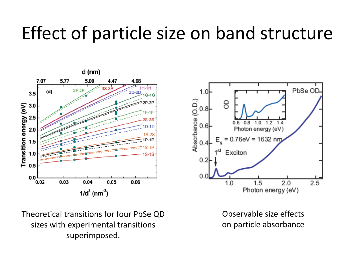#### Effect of particle size on band structure



PbSe OD  $1.0$  $\begin{array}{c}\n\text{Asorbance (O.D.)} \\
\text{Asorbance (O.D.)} \\
\text{or} \\
\text{A}\n\end{array}$ 8  $1.0$  $1.2$  $0.8$  $14$ Photon energy (eV) .76eV = 1632 nm Exciton  $0.2$  $0.0$  $1.0$  $1.5$  $2.0$  $2.5$ Photon energy (eV)

Theoretical transitions for four PbSe QD sizes with experimental transitions superimposed.

Observable size effects on particle absorbance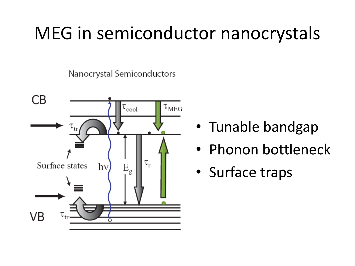#### MEG in semiconductor nanocrystals

Nanocrystal Semiconductors



- Tunable bandgap
- Phonon bottleneck
- Surface traps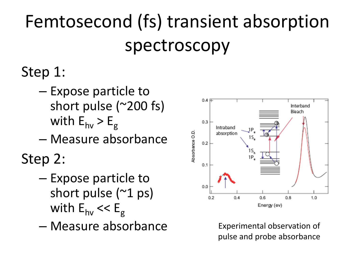## Femtosecond (fs) transient absorption spectroscopy

#### Step 1:

- Expose particle to short pulse (~200 fs) with  $E_{hv} > E_{g}$
- Measure absorbance

Step 2:

- Expose particle to short pulse (~1 ps) with  $E_{hv}$  <<  $E_g$
- Measure absorbance Experimental observation of



pulse and probe absorbance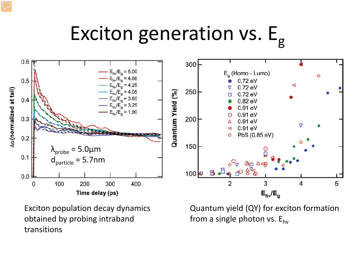# Exciton generation vs.  $E_{g}$



Exciton population decay dynamics obtained by probing intraband transitions

Quantum yield (QY) for exciton formation from a single photon vs.  $E_{hv}$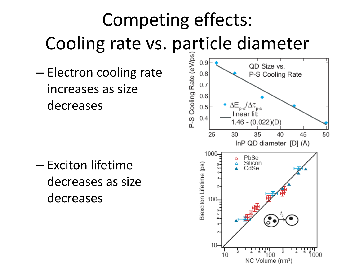### Competing effects: Cooling rate vs. particle diameter

– Electron cooling rate increases as size decreases

– Exciton lifetime decreases as size decreases

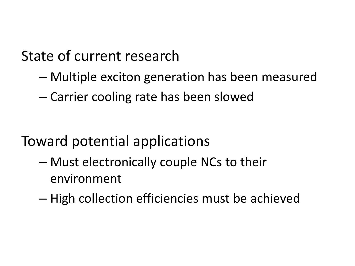#### State of current research

- Multiple exciton generation has been measured
- Carrier cooling rate has been slowed

- Toward potential applications
	- Must electronically couple NCs to their environment
	- High collection efficiencies must be achieved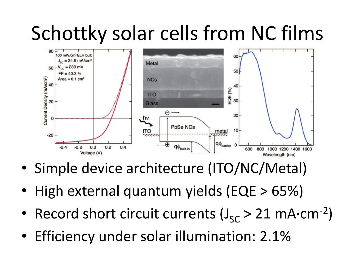### Schottky solar cells from NC films



- Simple device architecture (ITO/NC/Metal)
- High external quantum yields (EQE > 65%)
- Record short circuit currents (J<sub>SC</sub> > 21 mA⋅cm<sup>-2</sup>)
- Efficiency under solar illumination: 2.1%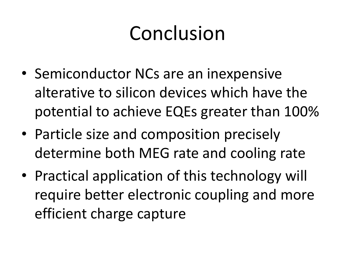## Conclusion

- Semiconductor NCs are an inexpensive alterative to silicon devices which have the potential to achieve EQEs greater than 100%
- Particle size and composition precisely determine both MEG rate and cooling rate
- Practical application of this technology will require better electronic coupling and more efficient charge capture